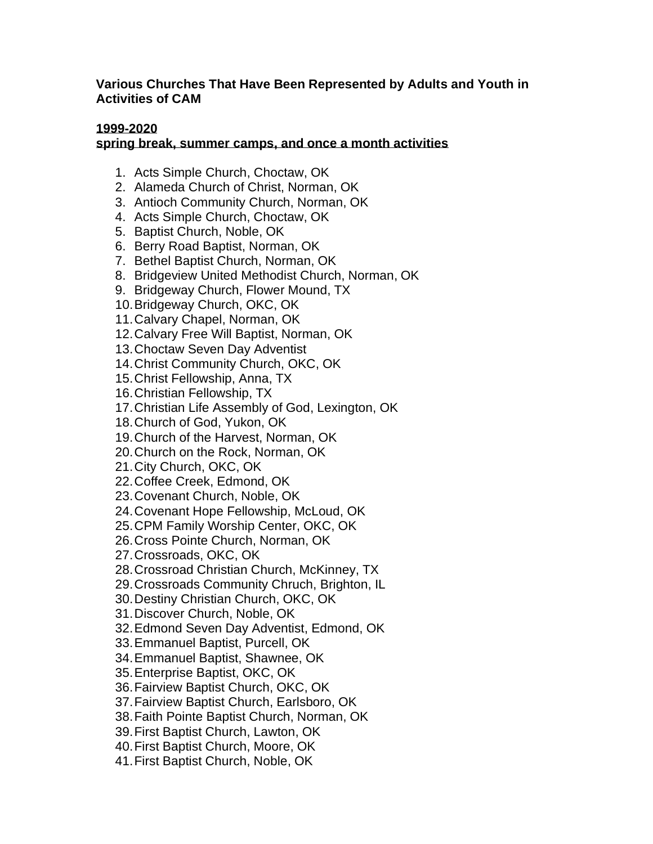## **Various Churches That Have Been Represented by Adults and Youth in Activities of CAM**

## **1999-2020**

## **spring break, summer camps, and once a month activities**

- 1. Acts Simple Church, Choctaw, OK
- 2. Alameda Church of Christ, Norman, OK
- 3. Antioch Community Church, Norman, OK
- 4. Acts Simple Church, Choctaw, OK
- 5. Baptist Church, Noble, OK
- 6. Berry Road Baptist, Norman, OK
- 7. Bethel Baptist Church, Norman, OK
- 8. Bridgeview United Methodist Church, Norman, OK
- 9. Bridgeway Church, Flower Mound, TX
- 10.Bridgeway Church, OKC, OK
- 11.Calvary Chapel, Norman, OK
- 12.Calvary Free Will Baptist, Norman, OK
- 13.Choctaw Seven Day Adventist
- 14.Christ Community Church, OKC, OK
- 15.Christ Fellowship, Anna, TX
- 16.Christian Fellowship, TX
- 17.Christian Life Assembly of God, Lexington, OK
- 18.Church of God, Yukon, OK
- 19.Church of the Harvest, Norman, OK
- 20.Church on the Rock, Norman, OK
- 21.City Church, OKC, OK
- 22.Coffee Creek, Edmond, OK
- 23.Covenant Church, Noble, OK
- 24.Covenant Hope Fellowship, McLoud, OK
- 25.CPM Family Worship Center, OKC, OK
- 26.Cross Pointe Church, Norman, OK
- 27.Crossroads, OKC, OK
- 28.Crossroad Christian Church, McKinney, TX
- 29.Crossroads Community Chruch, Brighton, IL
- 30.Destiny Christian Church, OKC, OK
- 31.Discover Church, Noble, OK
- 32.Edmond Seven Day Adventist, Edmond, OK
- 33.Emmanuel Baptist, Purcell, OK
- 34.Emmanuel Baptist, Shawnee, OK
- 35.Enterprise Baptist, OKC, OK
- 36.Fairview Baptist Church, OKC, OK
- 37.Fairview Baptist Church, Earlsboro, OK
- 38.Faith Pointe Baptist Church, Norman, OK
- 39.First Baptist Church, Lawton, OK
- 40.First Baptist Church, Moore, OK
- 41.First Baptist Church, Noble, OK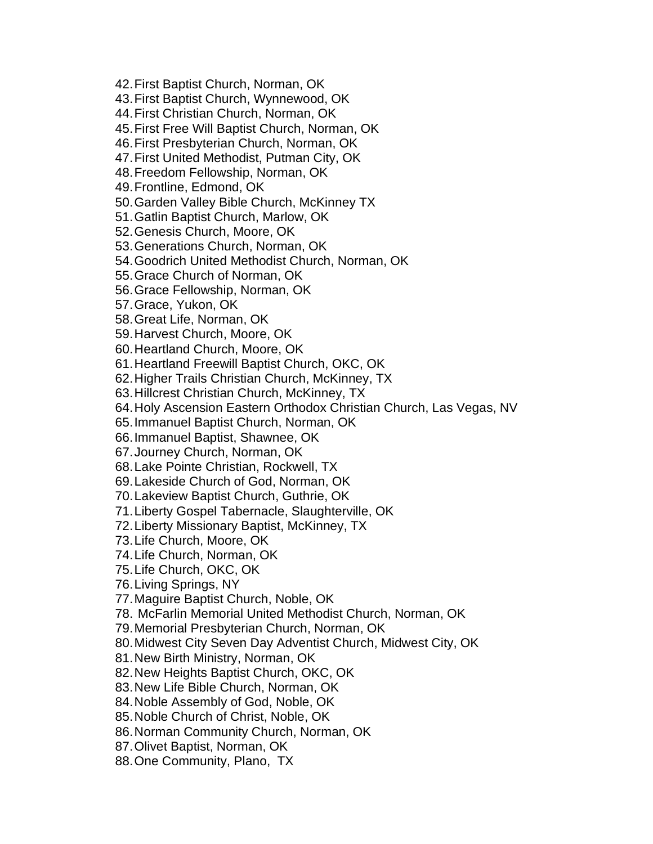42.First Baptist Church, Norman, OK 43.First Baptist Church, Wynnewood, OK 44.First Christian Church, Norman, OK 45.First Free Will Baptist Church, Norman, OK 46.First Presbyterian Church, Norman, OK 47.First United Methodist, Putman City, OK 48.Freedom Fellowship, Norman, OK 49.Frontline, Edmond, OK 50.Garden Valley Bible Church, McKinney TX 51.Gatlin Baptist Church, Marlow, OK 52.Genesis Church, Moore, OK 53.Generations Church, Norman, OK 54.Goodrich United Methodist Church, Norman, OK 55.Grace Church of Norman, OK 56.Grace Fellowship, Norman, OK 57.Grace, Yukon, OK 58.Great Life, Norman, OK 59.Harvest Church, Moore, OK 60.Heartland Church, Moore, OK 61.Heartland Freewill Baptist Church, OKC, OK 62.Higher Trails Christian Church, McKinney, TX 63.Hillcrest Christian Church, McKinney, TX 64.Holy Ascension Eastern Orthodox Christian Church, Las Vegas, NV 65.Immanuel Baptist Church, Norman, OK 66.Immanuel Baptist, Shawnee, OK 67.Journey Church, Norman, OK 68.Lake Pointe Christian, Rockwell, TX 69.Lakeside Church of God, Norman, OK 70.Lakeview Baptist Church, Guthrie, OK 71.Liberty Gospel Tabernacle, Slaughterville, OK 72.Liberty Missionary Baptist, McKinney, TX 73.Life Church, Moore, OK 74.Life Church, Norman, OK 75.Life Church, OKC, OK 76.Living Springs, NY 77.Maguire Baptist Church, Noble, OK 78. McFarlin Memorial United Methodist Church, Norman, OK 79.Memorial Presbyterian Church, Norman, OK 80.Midwest City Seven Day Adventist Church, Midwest City, OK 81.New Birth Ministry, Norman, OK 82.New Heights Baptist Church, OKC, OK 83.New Life Bible Church, Norman, OK 84.Noble Assembly of God, Noble, OK 85.Noble Church of Christ, Noble, OK 86.Norman Community Church, Norman, OK 87.Olivet Baptist, Norman, OK 88.One Community, Plano, TX